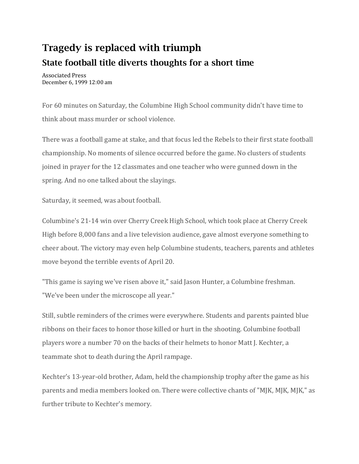## Tragedy is replaced with triumph State football title diverts thoughts for a short time

Associated Press December 6, 1999 12:00 am

For 60 minutes on Saturday, the Columbine High School community didn't have time to think about mass murder or school violence.

There was a football game at stake, and that focus led the Rebels to their first state football championship. No moments of silence occurred before the game. No clusters of students joined in prayer for the 12 classmates and one teacher who were gunned down in the spring. And no one talked about the slayings.

Saturday, it seemed, was about football.

Columbine's 21-14 win over Cherry Creek High School, which took place at Cherry Creek High before 8,000 fans and a live television audience, gave almost everyone something to cheer about. The victory may even help Columbine students, teachers, parents and athletes move beyond the terrible events of April 20.

"This game is saying we've risen above it," said Jason Hunter, a Columbine freshman. "We've been under the microscope all year."

Still, subtle reminders of the crimes were everywhere. Students and parents painted blue ribbons on their faces to honor those killed or hurt in the shooting. Columbine football players wore a number 70 on the backs of their helmets to honor Matt J. Kechter, a teammate shot to death during the April rampage.

Kechter's 13-year-old brother, Adam, held the championship trophy after the game as his parents and media members looked on. There were collective chants of "MJK, MJK, MJK," as further tribute to Kechter's memory.